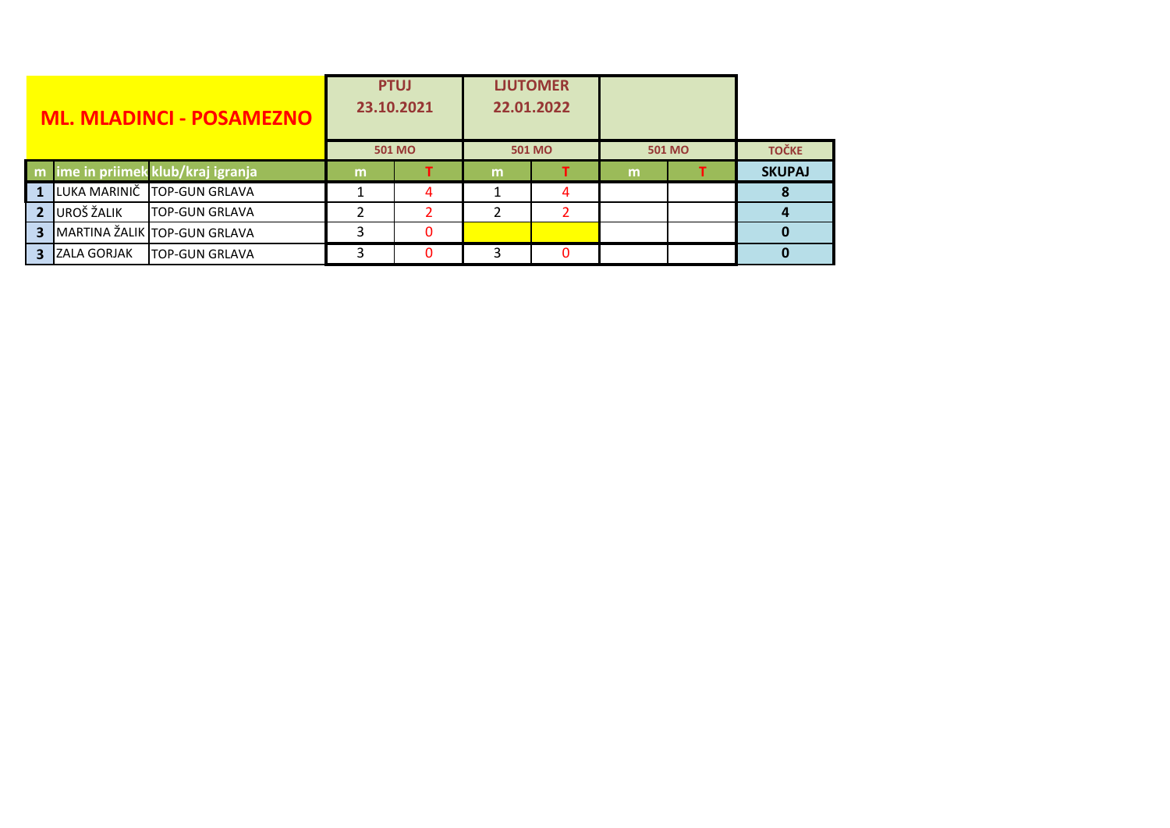| <b>ML. MLADINCI - POSAMEZNO</b> |                     | <b>PTUJ</b><br>23.10.2021          |        | <b>LJUTOMER</b><br>22.01.2022 |               |   |               |  |               |
|---------------------------------|---------------------|------------------------------------|--------|-------------------------------|---------------|---|---------------|--|---------------|
|                                 |                     |                                    | 501 MO |                               | <b>501 MO</b> |   | <b>501 MO</b> |  | <b>TOČKE</b>  |
|                                 |                     | m ime in priimek klub/kraj igranja | m      |                               | m             |   | m             |  | <b>SKUPAJ</b> |
|                                 |                     | LUKA MARINIČ TOP-GUN GRLAVA        |        | 4                             |               | 4 |               |  |               |
|                                 | UROŠ ŽALIK          | TOP-GUN GRLAVA                     |        |                               | 2             |   |               |  |               |
| 3                               |                     | MARTINA ŽALIK TOP-GUN GRLAVA       |        |                               |               |   |               |  |               |
| З.                              | <b>IZALA GORJAK</b> | <b>TOP-GUN GRLAVA</b>              |        | n                             | 3             | n |               |  |               |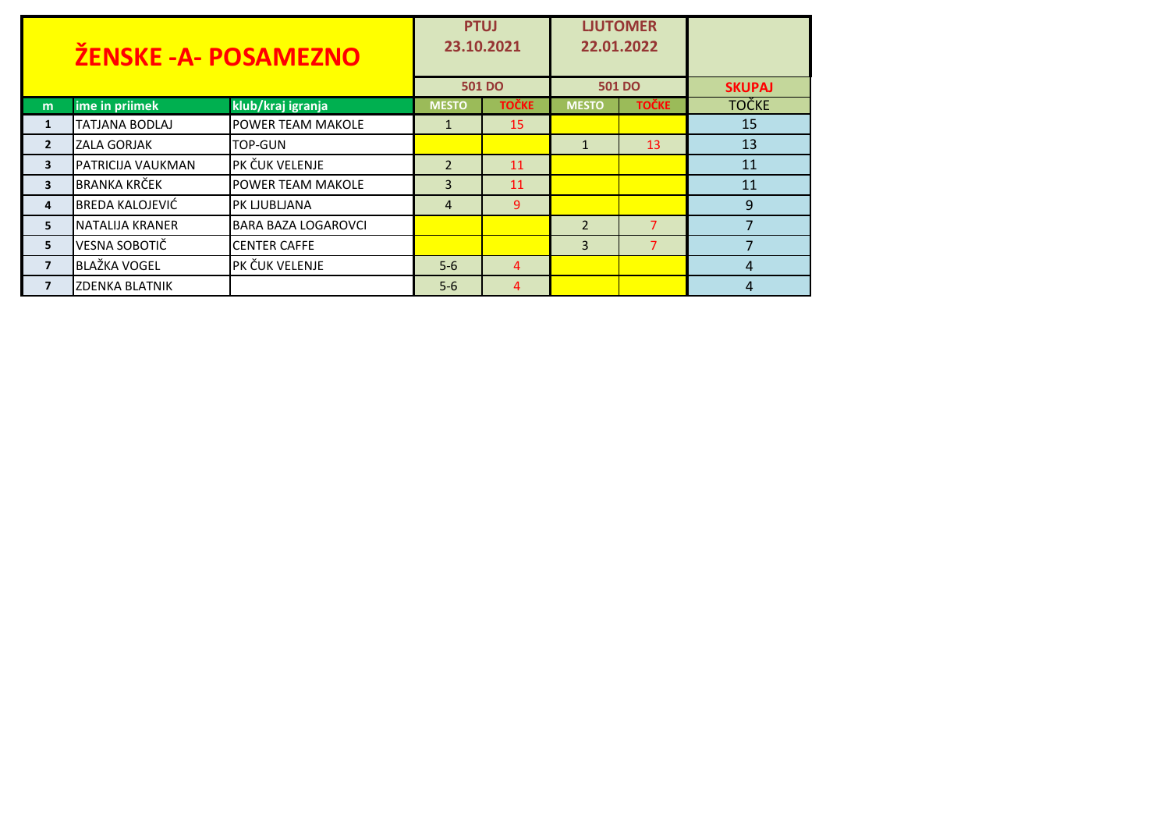| <b>ŽENSKE -A- POSAMEZNO</b> |                          |                            | <b>PTUJ</b><br>23.10.2021 |              |                | <b>LJUTOMER</b><br>22.01.2022 |               |
|-----------------------------|--------------------------|----------------------------|---------------------------|--------------|----------------|-------------------------------|---------------|
|                             |                          |                            | <b>501 DO</b>             |              | <b>501 DO</b>  |                               | <b>SKUPAJ</b> |
| m                           | ime in priimek           | klub/kraj igranja          | <b>MESTO</b>              | <b>TOČKE</b> | <b>MESTO</b>   | <b>TOČKE</b>                  | <b>TOČKE</b>  |
| 1                           | <b>TATJANA BODLAJ</b>    | POWER TEAM MAKOLE          | $\mathbf{1}$              | 15           |                |                               | 15            |
| $\overline{2}$              | <b>ZALA GORJAK</b>       | TOP-GUN                    |                           |              | 1              | 13                            | 13            |
| $\overline{\mathbf{3}}$     | <b>PATRICIJA VAUKMAN</b> | PK ČUK VELENJE             | $\overline{2}$            | 11           |                |                               | 11            |
| $\overline{\mathbf{3}}$     | <b>BRANKA KRČEK</b>      | <b>POWER TEAM MAKOLE</b>   | 3                         | 11           |                |                               | 11            |
| 4                           | <b>BREDA KALOJEVIĆ</b>   | PK LJUBLJANA               | $\overline{4}$            | 9            |                |                               | 9             |
| 5                           | NATALIJA KRANER          | <b>BARA BAZA LOGAROVCI</b> |                           |              | $\overline{2}$ | $\overline{7}$                |               |
| 5                           | <b>VESNA SOBOTIČ</b>     | <b>CENTER CAFFE</b>        |                           |              | 3              | $\overline{7}$                |               |
| $\overline{ }$              | <b>BLAŽKA VOGEL</b>      | PK ČUK VELENJE             | $5-6$                     | 4            |                |                               | 4             |
| $\overline{ }$              | <b>ZDENKA BLATNIK</b>    |                            | $5-6$                     | 4            |                |                               | 4             |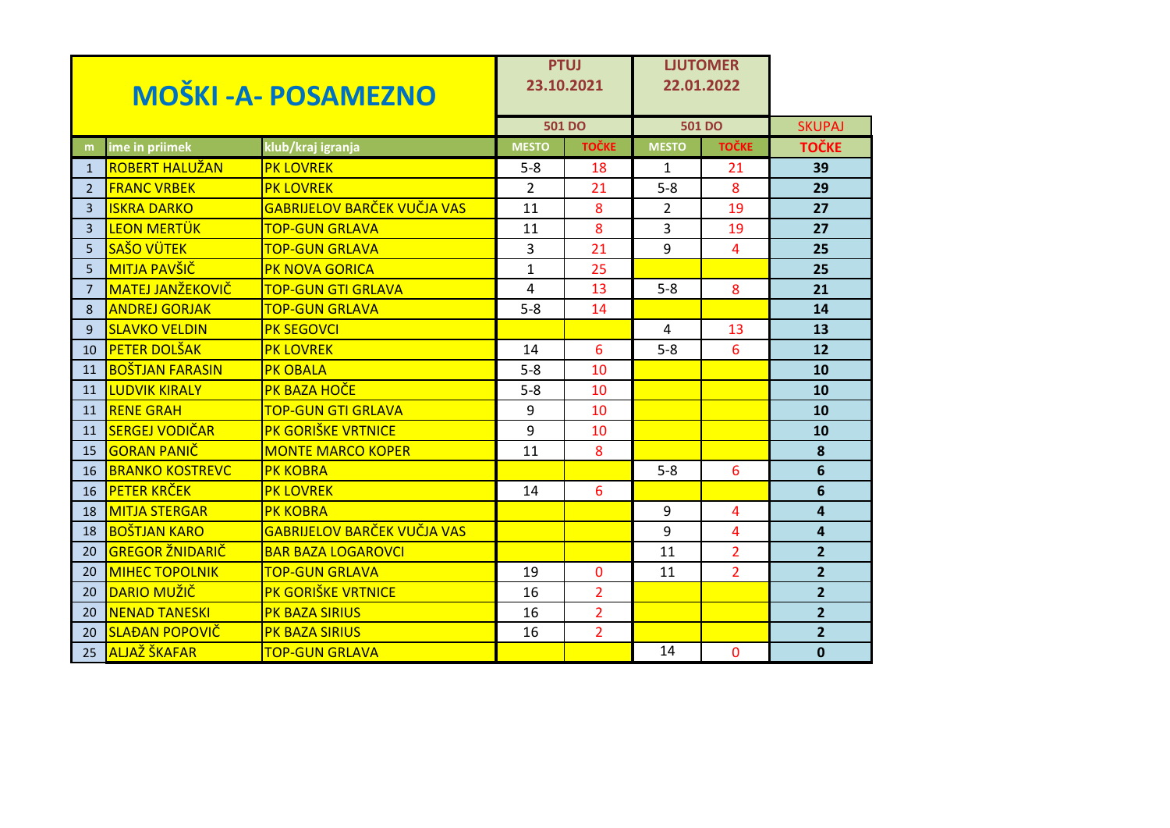| <b>MOŠKI - A- POSAMEZNO</b> |                         |                                    | <b>PTUJ</b><br>23.10.2021 |                | <b>LJUTOMER</b><br>22.01.2022 |                |                         |
|-----------------------------|-------------------------|------------------------------------|---------------------------|----------------|-------------------------------|----------------|-------------------------|
|                             |                         |                                    |                           | <b>501 DO</b>  |                               | <b>501 DO</b>  | <b>SKUPAJ</b>           |
| m                           | ime in priimek          | klub/kraj igranja                  | <b>MESTO</b>              | <b>TOČKE</b>   | <b>MESTO</b>                  | <b>TOČKE</b>   | <b>TOČKE</b>            |
| $\mathbf{1}$                | <b>ROBERT HALUŽAN</b>   | <b>PK LOVREK</b>                   | $5 - 8$                   | 18             | 1                             | 21             | 39                      |
| 2                           | <b>FRANC VRBEK</b>      | <b>PK LOVREK</b>                   | $\overline{2}$            | 21             | $5-8$                         | 8              | 29                      |
| 3                           | <b>ISKRA DARKO</b>      | <b>GABRIJELOV BARČEK VUČJA VAS</b> | 11                        | 8              | $\overline{2}$                | 19             | 27                      |
| $\overline{3}$              | <b>LEON MERTÜK</b>      | <b>TOP-GUN GRLAVA</b>              | 11                        | 8              | 3                             | 19             | 27                      |
| 5                           | <b>SAŠO VÜTEK</b>       | <b>TOP-GUN GRLAVA</b>              | 3                         | 21             | 9                             | $\overline{4}$ | 25                      |
| 5                           | <b>MITJA PAVŠIČ</b>     | <b>PK NOVA GORICA</b>              | $\mathbf{1}$              | 25             |                               |                | 25                      |
| $\overline{7}$              | <b>MATEJ JANŽEKOVIČ</b> | <b>TOP-GUN GTI GRLAVA</b>          | 4                         | 13             | $5-8$                         | 8              | 21                      |
| 8                           | <b>ANDREJ GORJAK</b>    | <b>TOP-GUN GRLAVA</b>              | $5 - 8$                   | 14             |                               |                | 14                      |
| 9                           | <b>SLAVKO VELDIN</b>    | <b>PK SEGOVCI</b>                  |                           |                | 4                             | 13             | 13                      |
| 10                          | <b>PETER DOLŠAK</b>     | <b>PK LOVREK</b>                   | 14                        | 6              | $5-8$                         | 6              | 12                      |
| 11                          | <b>BOŠTJAN FARASIN</b>  | <b>PK OBALA</b>                    | $5 - 8$                   | 10             |                               |                | 10                      |
| 11                          | <b>LUDVIK KIRALY</b>    | PK BAZA HOČE                       | $5 - 8$                   | 10             |                               |                | 10                      |
| 11                          | <b>RENE GRAH</b>        | <b>TOP-GUN GTI GRLAVA</b>          | 9                         | 10             |                               |                | 10                      |
| 11                          | <b>SERGEJ VODIČAR</b>   | PK GORIŠKE VRTNICE                 | 9                         | 10             |                               |                | 10                      |
| 15                          | <b>GORAN PANIČ</b>      | <b>MONTE MARCO KOPER</b>           | 11                        | 8              |                               |                | 8                       |
| 16                          | <b>BRANKO KOSTREVC</b>  | <b>PK KOBRA</b>                    |                           |                | $5 - 8$                       | 6              | $6\phantom{1}$          |
| 16                          | <b>PETER KRČEK</b>      | <b>PK LOVREK</b>                   | 14                        | 6              |                               |                | $6\phantom{1}$          |
| 18                          | <b>MITJA STERGAR</b>    | <b>PK KOBRA</b>                    |                           |                | 9                             | 4              | $\overline{\mathbf{4}}$ |
| 18                          | <b>BOŠTJAN KARO</b>     | <b>GABRIJELOV BARČEK VUČJA VAS</b> |                           |                | 9                             | 4              | 4                       |
| 20                          | <b>GREGOR ŽNIDARIČ</b>  | <b>BAR BAZA LOGAROVCI</b>          |                           |                | 11                            | $\overline{2}$ | $\overline{2}$          |
| 20                          | <b>MIHEC TOPOLNIK</b>   | <b>TOP-GUN GRLAVA</b>              | 19                        | $\mathbf{0}$   | 11                            | $\overline{2}$ | $\overline{2}$          |
| 20                          | DARIO MUŽIČ             | PK GORIŠKE VRTNICE                 | 16                        | $\overline{2}$ |                               |                | $\overline{2}$          |
| 20                          | <b>NENAD TANESKI</b>    | <b>PK BAZA SIRIUS</b>              | 16                        | $\overline{2}$ |                               |                | $\overline{2}$          |
| 20                          | <b>SLAĐAN POPOVIČ</b>   | <b>PK BAZA SIRIUS</b>              | 16                        | $\overline{2}$ |                               |                | $\overline{2}$          |
| 25                          | <b>ALJAŽ ŠKAFAR</b>     | <b>TOP-GUN GRLAVA</b>              |                           |                | 14                            | 0              | $\mathbf{0}$            |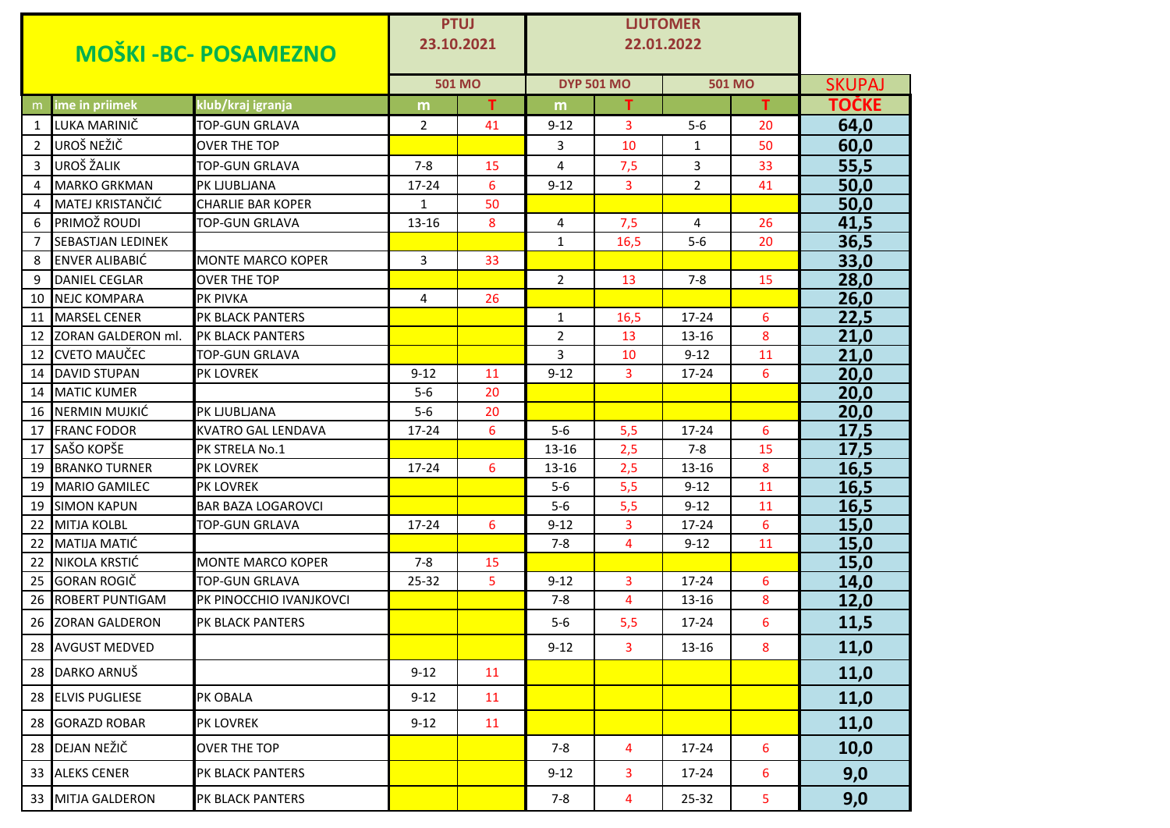| <b>MOŠKI-BC- POSAMEZNO</b> |                                          |                                             | <b>PTUJ</b><br>23.10.2021 |               | <b>LJUTOMER</b><br>22.01.2022 |                   |                |               |               |
|----------------------------|------------------------------------------|---------------------------------------------|---------------------------|---------------|-------------------------------|-------------------|----------------|---------------|---------------|
|                            |                                          |                                             |                           | <b>501 MO</b> |                               | <b>DYP 501 MO</b> |                | <b>501 MO</b> | <b>SKUPAJ</b> |
| m.                         | ime in priimek                           | klub/kraj igranja                           | m                         | т             | m                             | т                 |                | т             | TOČKE         |
| 1                          | LUKA MARINIČ                             | <b>TOP-GUN GRLAVA</b>                       | 2                         | 41            | $9 - 12$                      | 3                 | $5-6$          | 20            | 64,0          |
| $2^{\circ}$                | UROŠ NEŽIČ                               | <b>OVER THE TOP</b>                         |                           |               | 3                             | 10                | $\mathbf{1}$   | 50            | 60,0          |
| $\mathbf{3}$               | UROŠ ŽALIK                               | <b>TOP-GUN GRLAVA</b>                       | $7 - 8$                   | 15            | 4                             | 7,5               | 3              | 33            | 55,5          |
| 4                          | <b>MARKO GRKMAN</b>                      | PK LJUBLJANA                                | 17-24                     | 6             | $9 - 12$                      | 3                 | $\overline{2}$ | 41            | 50,0          |
| 4                          | MATEJ KRISTANČIĆ                         | <b>CHARLIE BAR KOPER</b>                    | 1                         | 50            |                               |                   |                |               | 50,0          |
| 6                          | PRIMOŽ ROUDI                             | TOP-GUN GRLAVA                              | 13-16                     | 8             | 4                             | 7,5               | 4              | 26            | 41,5          |
| $\overline{7}$             | <b>SEBASTJAN LEDINEK</b>                 |                                             |                           |               | $\mathbf{1}$                  | 16,5              | $5-6$          | 20            | 36,5          |
| 8                          | <b>ENVER ALIBABIĆ</b>                    | <b>MONTE MARCO KOPER</b>                    | 3                         | 33            |                               |                   |                |               | 33,0          |
| 9                          | <b>DANIEL CEGLAR</b>                     | <b>OVER THE TOP</b>                         |                           |               | $\overline{2}$                | 13                | $7 - 8$        | 15            | 28,0          |
| 10                         | <b>NEJC KOMPARA</b>                      | <b>PK PIVKA</b>                             | 4                         | 26            |                               |                   |                |               | 26,0          |
|                            | 11 MARSEL CENER                          | PK BLACK PANTERS                            |                           |               | $\mathbf{1}$                  | 16,5              | 17-24          | 6             | 22,5          |
|                            | 12 ZORAN GALDERON ml.                    | <b>PK BLACK PANTERS</b>                     |                           |               | $\overline{2}$                | 13                | $13 - 16$      | 8             | 21,0          |
| 12                         | <b>CVETO MAUČEC</b>                      | TOP-GUN GRLAVA                              |                           |               | 3                             | 10                | $9 - 12$       | 11            | 21,0          |
| 14                         | <b>DAVID STUPAN</b>                      | <b>PK LOVREK</b>                            | $9 - 12$                  | 11            | $9 - 12$                      | 3                 | $17 - 24$      | 6             | 20,0          |
|                            | 14 MATIC KUMER                           |                                             | $5-6$                     | 20            |                               |                   |                |               | 20,0          |
|                            | 16 NERMIN MUJKIĆ                         | PK LJUBLJANA                                | $5-6$                     | 20            |                               |                   |                |               | 20,0          |
| 17                         | <b>FRANC FODOR</b>                       | KVATRO GAL LENDAVA                          | 17-24                     | 6             | $5-6$                         | 5,5               | $17 - 24$      | 6             | 17,5          |
| 17                         | SAŠO KOPŠE                               | PK STRELA No.1                              |                           |               | 13-16                         | 2,5               | $7 - 8$        | 15            | 17,5          |
|                            | <b>19 BRANKO TURNER</b>                  | <b>PK LOVREK</b>                            | 17-24                     | 6             | 13-16                         | 2,5               | 13-16          | 8             | 16,5          |
|                            | 19 MARIO GAMILEC                         | PK LOVREK                                   |                           |               | $5-6$                         | 5,5               | $9 - 12$       | 11            | 16,5          |
| 19<br>22                   | <b>SIMON KAPUN</b><br><b>MITJA KOLBL</b> | BAR BAZA LOGAROVCI<br><b>TOP-GUN GRLAVA</b> | $17 - 24$                 | 6             | $5-6$                         | 5,5               | $9 - 12$       | 11            | 16,5          |
|                            | 22 MATIJA MATIĆ                          |                                             |                           |               | $9 - 12$<br>$7 - 8$           | 3<br>4            | 17-24          | 6             | 15,0          |
| 22                         | NIKOLA KRSTIĆ                            | <b>MONTE MARCO KOPER</b>                    | $7 - 8$                   | 15            |                               |                   | $9 - 12$       | 11            | 15,0<br>15,0  |
| $25 -$                     | <b>GORAN ROGIČ</b>                       | <b>TOP-GUN GRLAVA</b>                       | 25-32                     | 5             | $9 - 12$                      | 3                 | $17 - 24$      | 6             | 14,0          |
|                            | 26 ROBERT PUNTIGAM                       | PK PINOCCHIO IVANJKOVCI                     |                           |               | $7 - 8$                       | $\overline{4}$    | 13-16          | 8             | 12,0          |
| 26                         | <b>ZORAN GALDERON</b>                    | PK BLACK PANTERS                            |                           |               | $5-6$                         | 5,5               | $17 - 24$      | 6             | 11,5          |
|                            | 28 AVGUST MEDVED                         |                                             |                           |               | $9 - 12$                      | 3                 | 13-16          | 8             | 11,0          |
|                            | 28 DARKO ARNUŠ                           |                                             | $9 - 12$                  | 11            |                               |                   |                |               | 11,0          |
|                            | 28 ELVIS PUGLIESE                        | PK OBALA                                    | $9 - 12$                  | 11            |                               |                   |                |               | 11,0          |
|                            | 28 GORAZD ROBAR                          | PK LOVREK                                   | $9 - 12$                  | 11            |                               |                   |                |               | 11,0          |
|                            | 28 DEJAN NEŽIČ                           | <b>OVER THE TOP</b>                         |                           |               | $7 - 8$                       | $\overline{4}$    | 17-24          | 6             | 10,0          |
|                            | 33 ALEKS CENER                           | PK BLACK PANTERS                            |                           |               | $9 - 12$                      | $\mathbf{3}$      | 17-24          | 6             | 9,0           |
|                            | 33 MITJA GALDERON                        | PK BLACK PANTERS                            |                           |               | $7 - 8$                       | $\overline{4}$    | 25-32          | 5             | 9,0           |